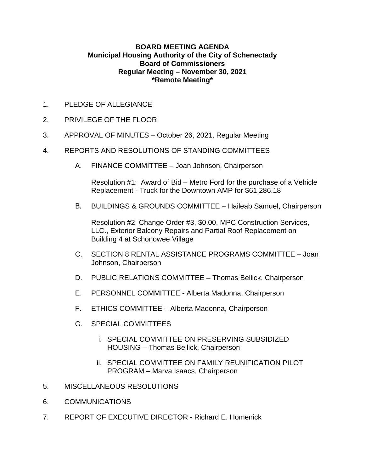### **BOARD MEETING AGENDA Municipal Housing Authority of the City of Schenectady Board of Commissioners Regular Meeting – November 30, 2021 \*Remote Meeting\***

- 1. PLEDGE OF ALLEGIANCE
- 2. PRIVILEGE OF THE FLOOR
- 3. APPROVAL OF MINUTES October 26, 2021, Regular Meeting
- 4. REPORTS AND RESOLUTIONS OF STANDING COMMITTEES
	- A. FINANCE COMMITTEE Joan Johnson, Chairperson

Resolution #1: Award of Bid – Metro Ford for the purchase of a Vehicle Replacement - Truck for the Downtown AMP for \$61,286.18

B. BUILDINGS & GROUNDS COMMITTEE – Haileab Samuel, Chairperson

Resolution #2 Change Order #3, \$0.00, MPC Construction Services, LLC., Exterior Balcony Repairs and Partial Roof Replacement on Building 4 at Schonowee Village

- C. SECTION 8 RENTAL ASSISTANCE PROGRAMS COMMITTEE Joan Johnson, Chairperson
- D. PUBLIC RELATIONS COMMITTEE Thomas Bellick, Chairperson
- E. PERSONNEL COMMITTEE Alberta Madonna, Chairperson
- F. ETHICS COMMITTEE Alberta Madonna, Chairperson
- G. SPECIAL COMMITTEES
	- i. SPECIAL COMMITTEE ON PRESERVING SUBSIDIZED HOUSING – Thomas Bellick, Chairperson
	- ii. SPECIAL COMMITTEE ON FAMILY REUNIFICATION PILOT PROGRAM – Marva Isaacs, Chairperson
- 5. MISCELLANEOUS RESOLUTIONS
- 6. COMMUNICATIONS
- 7. REPORT OF EXECUTIVE DIRECTOR Richard E. Homenick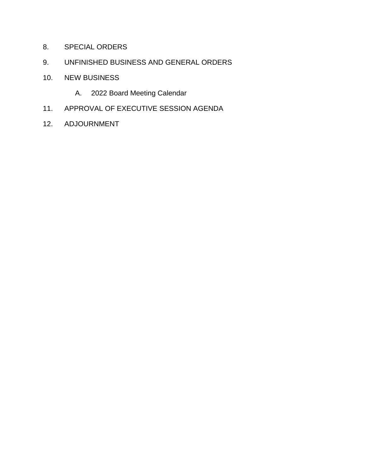- 8. SPECIAL ORDERS
- 9. UNFINISHED BUSINESS AND GENERAL ORDERS
- 10. NEW BUSINESS
	- A. 2022 Board Meeting Calendar
- 11. APPROVAL OF EXECUTIVE SESSION AGENDA
- 12. ADJOURNMENT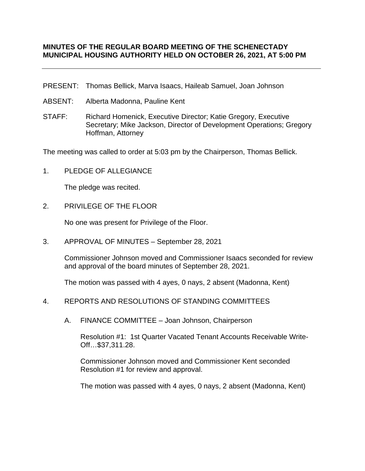### **MINUTES OF THE REGULAR BOARD MEETING OF THE SCHENECTADY MUNICIPAL HOUSING AUTHORITY HELD ON OCTOBER 26, 2021, AT 5:00 PM**

- PRESENT: Thomas Bellick, Marva Isaacs, Haileab Samuel, Joan Johnson
- ABSENT: Alberta Madonna, Pauline Kent
- STAFF: Richard Homenick, Executive Director; Katie Gregory, Executive Secretary; Mike Jackson, Director of Development Operations; Gregory Hoffman, Attorney

The meeting was called to order at 5:03 pm by the Chairperson, Thomas Bellick.

1. PLEDGE OF ALLEGIANCE

The pledge was recited.

2. PRIVILEGE OF THE FLOOR

No one was present for Privilege of the Floor.

3. APPROVAL OF MINUTES – September 28, 2021

Commissioner Johnson moved and Commissioner Isaacs seconded for review and approval of the board minutes of September 28, 2021.

The motion was passed with 4 ayes, 0 nays, 2 absent (Madonna, Kent)

- 4. REPORTS AND RESOLUTIONS OF STANDING COMMITTEES
	- A. FINANCE COMMITTEE Joan Johnson, Chairperson

Resolution #1: 1st Quarter Vacated Tenant Accounts Receivable Write-Off…\$37,311.28.

Commissioner Johnson moved and Commissioner Kent seconded Resolution #1 for review and approval.

The motion was passed with 4 ayes, 0 nays, 2 absent (Madonna, Kent)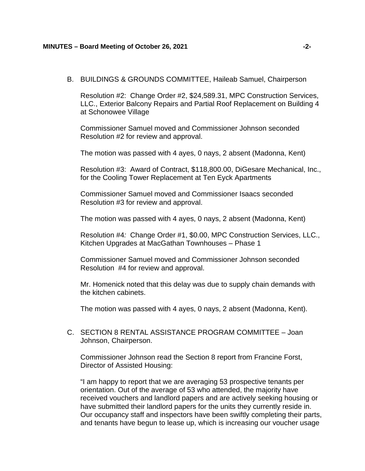B. BUILDINGS & GROUNDS COMMITTEE, Haileab Samuel, Chairperson

Resolution #2: Change Order #2, \$24,589.31, MPC Construction Services, LLC., Exterior Balcony Repairs and Partial Roof Replacement on Building 4 at Schonowee Village

Commissioner Samuel moved and Commissioner Johnson seconded Resolution #2 for review and approval.

The motion was passed with 4 ayes, 0 nays, 2 absent (Madonna, Kent)

Resolution #3: Award of Contract, \$118,800.00, DiGesare Mechanical, Inc., for the Cooling Tower Replacement at Ten Eyck Apartments

Commissioner Samuel moved and Commissioner Isaacs seconded Resolution #3 for review and approval.

The motion was passed with 4 ayes, 0 nays, 2 absent (Madonna, Kent)

Resolution #4*:* Change Order #1, \$0.00, MPC Construction Services, LLC., Kitchen Upgrades at MacGathan Townhouses – Phase 1

Commissioner Samuel moved and Commissioner Johnson seconded Resolution #4 for review and approval.

Mr. Homenick noted that this delay was due to supply chain demands with the kitchen cabinets.

The motion was passed with 4 ayes, 0 nays, 2 absent (Madonna, Kent).

C. SECTION 8 RENTAL ASSISTANCE PROGRAM COMMITTEE – Joan Johnson, Chairperson.

Commissioner Johnson read the Section 8 report from Francine Forst, Director of Assisted Housing:

"I am happy to report that we are averaging 53 prospective tenants per orientation. Out of the average of 53 who attended, the majority have received vouchers and landlord papers and are actively seeking housing or have submitted their landlord papers for the units they currently reside in. Our occupancy staff and inspectors have been swiftly completing their parts, and tenants have begun to lease up, which is increasing our voucher usage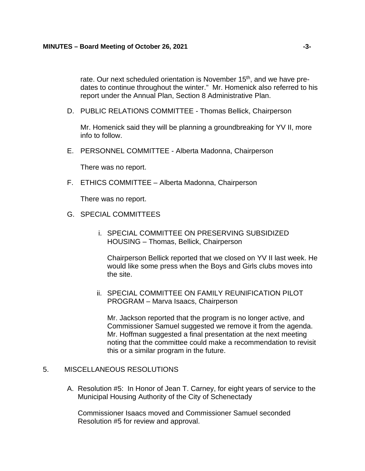rate. Our next scheduled orientation is November 15<sup>th</sup>, and we have predates to continue throughout the winter." Mr. Homenick also referred to his report under the Annual Plan, Section 8 Administrative Plan.

D. PUBLIC RELATIONS COMMITTEE - Thomas Bellick, Chairperson

Mr. Homenick said they will be planning a groundbreaking for YV II, more info to follow.

E. PERSONNEL COMMITTEE - Alberta Madonna, Chairperson

There was no report.

F. ETHICS COMMITTEE – Alberta Madonna, Chairperson

There was no report.

- G. SPECIAL COMMITTEES
	- i. SPECIAL COMMITTEE ON PRESERVING SUBSIDIZED HOUSING – Thomas, Bellick, Chairperson

Chairperson Bellick reported that we closed on YV II last week. He would like some press when the Boys and Girls clubs moves into the site.

ii. SPECIAL COMMITTEE ON FAMILY REUNIFICATION PILOT PROGRAM – Marva Isaacs, Chairperson

Mr. Jackson reported that the program is no longer active, and Commissioner Samuel suggested we remove it from the agenda. Mr. Hoffman suggested a final presentation at the next meeting noting that the committee could make a recommendation to revisit this or a similar program in the future.

### 5. MISCELLANEOUS RESOLUTIONS

A. Resolution #5: In Honor of Jean T. Carney, for eight years of service to the Municipal Housing Authority of the City of Schenectady

Commissioner Isaacs moved and Commissioner Samuel seconded Resolution #5 for review and approval.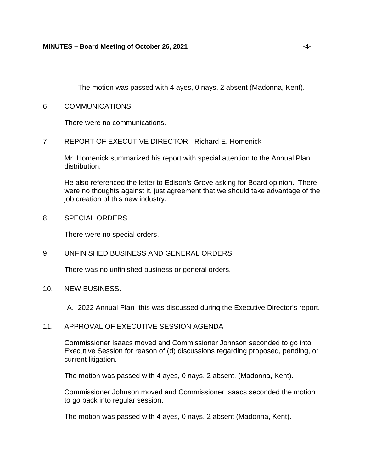The motion was passed with 4 ayes, 0 nays, 2 absent (Madonna, Kent).

6. COMMUNICATIONS

There were no communications.

7. REPORT OF EXECUTIVE DIRECTOR - Richard E. Homenick

Mr. Homenick summarized his report with special attention to the Annual Plan distribution.

He also referenced the letter to Edison's Grove asking for Board opinion. There were no thoughts against it, just agreement that we should take advantage of the job creation of this new industry.

8. SPECIAL ORDERS

There were no special orders.

9. UNFINISHED BUSINESS AND GENERAL ORDERS

There was no unfinished business or general orders.

10. NEW BUSINESS.

A. 2022 Annual Plan- this was discussed during the Executive Director's report.

11. APPROVAL OF EXECUTIVE SESSION AGENDA

Commissioner Isaacs moved and Commissioner Johnson seconded to go into Executive Session for reason of (d) discussions regarding proposed, pending, or current litigation.

The motion was passed with 4 ayes, 0 nays, 2 absent. (Madonna, Kent).

Commissioner Johnson moved and Commissioner Isaacs seconded the motion to go back into regular session.

The motion was passed with 4 ayes, 0 nays, 2 absent (Madonna, Kent).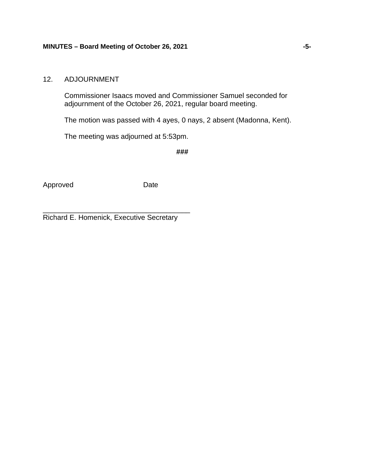### 12. ADJOURNMENT

Commissioner Isaacs moved and Commissioner Samuel seconded for adjournment of the October 26, 2021, regular board meeting.

The motion was passed with 4 ayes, 0 nays, 2 absent (Madonna, Kent).

The meeting was adjourned at 5:53pm.

**###**

Approved Date

\_\_\_\_\_\_\_\_\_\_\_\_\_\_\_\_\_\_\_\_\_\_\_\_\_\_\_\_\_\_\_\_\_\_\_\_\_ Richard E. Homenick, Executive Secretary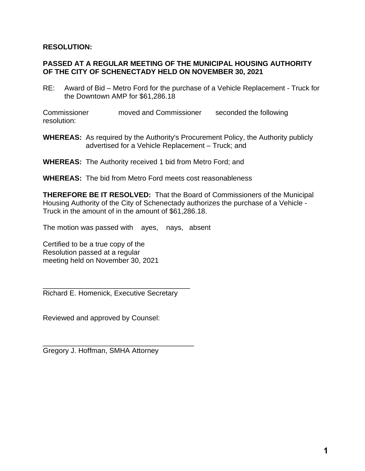### **RESOLUTION:**

### **PASSED AT A REGULAR MEETING OF THE MUNICIPAL HOUSING AUTHORITY OF THE CITY OF SCHENECTADY HELD ON NOVEMBER 30, 2021**

RE: Award of Bid – Metro Ford for the purchase of a Vehicle Replacement - Truck for the Downtown AMP for \$61,286.18

Commissioner moved and Commissioner seconded the following resolution:

- **WHEREAS:** As required by the Authority's Procurement Policy, the Authority publicly advertised for a Vehicle Replacement – Truck; and
- **WHEREAS:** The Authority received 1 bid from Metro Ford; and
- **WHEREAS:** The bid from Metro Ford meets cost reasonableness

**THEREFORE BE IT RESOLVED:** That the Board of Commissioners of the Municipal Housing Authority of the City of Schenectady authorizes the purchase of a Vehicle - Truck in the amount of in the amount of \$61,286.18.

The motion was passed with ayes, nays, absent

Certified to be a true copy of the Resolution passed at a regular meeting held on November 30, 2021

\_\_\_\_\_\_\_\_\_\_\_\_\_\_\_\_\_\_\_\_\_\_\_\_\_\_\_\_\_\_\_\_\_\_\_\_\_ Richard E. Homenick, Executive Secretary

Reviewed and approved by Counsel:

\_\_\_\_\_\_\_\_\_\_\_\_\_\_\_\_\_\_\_\_\_\_\_\_\_\_\_\_\_\_\_\_\_\_\_\_\_\_ Gregory J. Hoffman, SMHA Attorney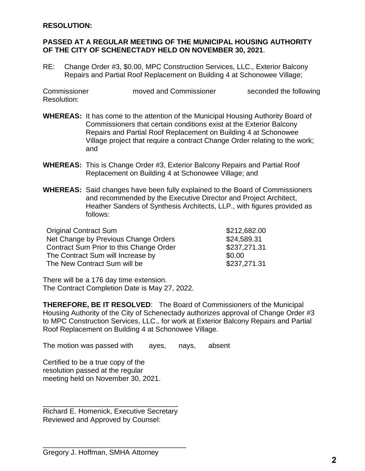### **RESOLUTION:**

### **PASSED AT A REGULAR MEETING OF THE MUNICIPAL HOUSING AUTHORITY OF THE CITY OF SCHENECTADY HELD ON NOVEMBER 30, 2021**.

RE: Change Order #3, \$0.00, MPC Construction Services, LLC., Exterior Balcony Repairs and Partial Roof Replacement on Building 4 at Schonowee Village;

Commissioner moved and Commissioner seconded the following Resolution:

- **WHEREAS:** It has come to the attention of the Municipal Housing Authority Board of Commissioners that certain conditions exist at the Exterior Balcony Repairs and Partial Roof Replacement on Building 4 at Schonowee Village project that require a contract Change Order relating to the work; and
- **WHEREAS:** This is Change Order #3, Exterior Balcony Repairs and Partial Roof Replacement on Building 4 at Schonowee Village; and
- **WHEREAS:** Said changes have been fully explained to the Board of Commissioners and recommended by the Executive Director and Project Architect, Heather Sanders of Synthesis Architects, LLP., with figures provided as follows:

| <b>Original Contract Sum</b>            | \$212,682.00 |
|-----------------------------------------|--------------|
| Net Change by Previous Change Orders    | \$24,589.31  |
| Contract Sum Prior to this Change Order | \$237,271.31 |
| The Contract Sum will Increase by       | \$0.00       |
| The New Contract Sum will be            | \$237,271.31 |

There will be a 176 day time extension. The Contract Completion Date is May 27, 2022.

**THEREFORE, BE IT RESOLVED**: The Board of Commissioners of the Municipal Housing Authority of the City of Schenectady authorizes approval of Change Order #3 to MPC Construction Services, LLC., for work at Exterior Balcony Repairs and Partial Roof Replacement on Building 4 at Schonowee Village.

The motion was passed with ayes, nays, absent

Certified to be a true copy of the resolution passed at the regular meeting held on November 30, 2021.

\_\_\_\_\_\_\_\_\_\_\_\_\_\_\_\_\_\_\_\_\_\_\_\_\_\_\_\_\_\_\_\_\_\_ Richard E. Homenick, Executive Secretary Reviewed and Approved by Counsel:

\_\_\_\_\_\_\_\_\_\_\_\_\_\_\_\_\_\_\_\_\_\_\_\_\_\_\_\_\_\_\_\_\_\_\_\_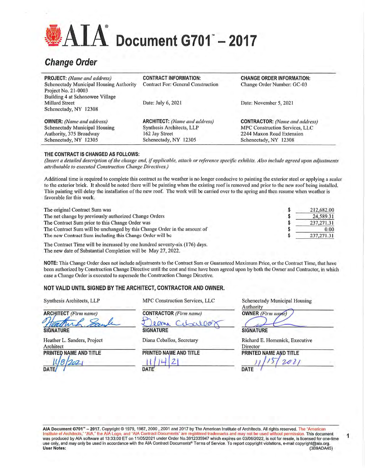# $\mathbf{AIA}^*$  Document G701 $^*$  – 2017

# **Change Order**

| <b>PROJECT:</b> (Name and address)             | <b>CONTRACT INFORMATION:</b>              | <b>CHANGE ORDER INFORMATION:</b>      |
|------------------------------------------------|-------------------------------------------|---------------------------------------|
| <b>Schenectady Municipal Housing Authority</b> | <b>Contract For: General Construction</b> | Change Order Number: GC-03            |
| Project No. 21-0003                            |                                           |                                       |
| Building 4 at Schonowee Village                |                                           |                                       |
| <b>Millard Street</b>                          | Date: July 6, 2021                        | Date: November 5, 2021                |
| Schenectady, NY 12308                          |                                           |                                       |
| <b>OWNER:</b> (Name and address)               | <b>ARCHITECT:</b> (Name and address)      | <b>CONTRACTOR:</b> (Name and address) |
| Schenectady Municipal Housing                  | Synthesis Architects, LLP                 | <b>MPC Construction Services, LLC</b> |
| Authority, 375 Broadway                        | 162 Jay Street                            | 2244 Maxon Road Extension             |
| Schenectady, NY 12305                          | Schenectady, NY 12305                     | Schenectady, NY 12308                 |

#### THE CONTRACT IS CHANGED AS FOLLOWS:

(Insert a detailed description of the change and, if applicable, attach or reference specific exhibits. Also include agreed upon adjustments attributable to executed Construction Change Directives.)

Additional time is required to complete this contract as the weather is no longer conducive to painting the exterior steel or applying a sealer to the exterior brick. It should be noted there will be painting when the existing roof is removed and prior to the new roof being installed, This painting will delay the installation of the new roof. The work will be carried over to the spring and then resume when weather is favorable for this work.

| The original Contract Sum was                                            | 212,682.00   |
|--------------------------------------------------------------------------|--------------|
| The net change by previously authorized Change Orders                    | 24.589.31    |
| The Contract Sum prior to this Change Order was                          | 237, 271, 31 |
| The Contract Sum will be unchanged by this Change Order in the amount of | 0.00         |
| The new Contract Sum including this Change Order will be                 | 237, 271, 31 |
|                                                                          |              |

The Contract Time will be increased by one hundred seventy-six (176) days. The new date of Substantial Completion will be May 27, 2022.

NOTE: This Change Order does not include adjustments to the Contract Sum or Guaranteed Maximum Price, or the Contract Time, that have been authorized by Construction Change Directive until the cost and time have been agreed upon by both the Owner and Contractor, in which case a Change Order is executed to supersede the Construction Change Directive.

### NOT VALID UNTIL SIGNED BY THE ARCHITECT, CONTRACTOR AND OWNER.

| <b>ARCHITECT</b> (Firm name) |  |  |
|------------------------------|--|--|
|                              |  |  |
|                              |  |  |
| <b>SNATURE</b>               |  |  |

Heather L. Sanders, Project Architect PRINTED NAME AND TITLE

Synthesis Architects, LLP

MPC Construction Services, LLC

**CONTRACTOR** (Firm name) lene Cil **SIGNATURE** 

Diana Ceballos, Secretary

PRINTED NAME AND TITLE

**Schenectady Municipal Housing** Authority **OWNER** (Firm name)

**SIGNATURE** 

Richard E. Homenick, Executive Director PRINTED NAME AND TITLE

**DATE** 

1

AIA Document G701<sup>w</sup> - 2017. Copyright @ 1979, 1987, 2000 , 2001 and 2017 by The American Institute of Architects. All rights reserved. The "American Institute of Architects," "AIA," the AIA Logo, and "AIA Contract Documents" are registered trademarks and may not be used without permission. This document was produced by AIA software at 13:33:00 ET on 11/05/2021 under Order No.3912335947 which expires on 03/06/2022, is not for resale, is licensed for one-time Was produced by AiA soliware at 10.00.00 ET on Thomas. Show Show Terms of Service. To report copyright violations, e-mail copyright@aia.org.<br>User Notes: (3B9ADA45) (3B9ADA45)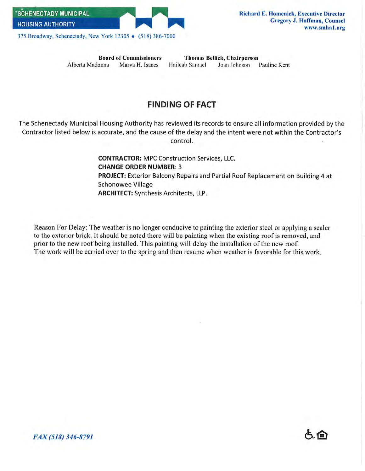

**Board of Commissioners** Alberta Madonna Marva H. Isaacs

**Thomas Bellick, Chairperson** Haileab Samuel Joan Johnson Pauline Kent

## **FINDING OF FACT**

The Schenectady Municipal Housing Authority has reviewed its records to ensure all information provided by the Contractor listed below is accurate, and the cause of the delay and the intent were not within the Contractor's control.

> **CONTRACTOR: MPC Construction Services, LLC. CHANGE ORDER NUMBER: 3 PROJECT:** Exterior Balcony Repairs and Partial Roof Replacement on Building 4 at **Schonowee Village ARCHITECT:** Synthesis Architects, LLP.

Reason For Delay: The weather is no longer conducive to painting the exterior steel or applying a sealer to the exterior brick. It should be noted there will be painting when the existing roof is removed, and prior to the new roof being installed. This painting will delay the installation of the new roof. The work will be carried over to the spring and then resume when weather is favorable for this work.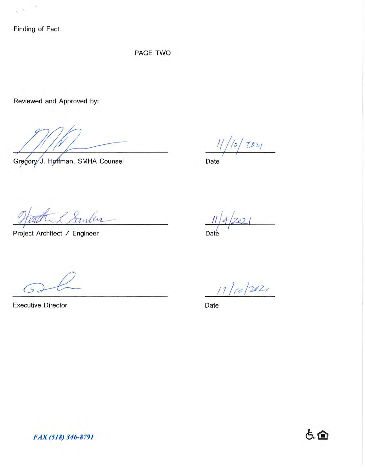Finding of Fact

 $\rightarrow$ 

9. i.

PAGE TWO

Reviewed and Approved by:

Gregory J. Hoffman, SMHA Counsel

 $\frac{1}{0}$  toy

Date

Santes

Project Architect / Engineer

Date

 $\overline{5}$ 

**Executive Director** 

 $11/10/202$ 

Date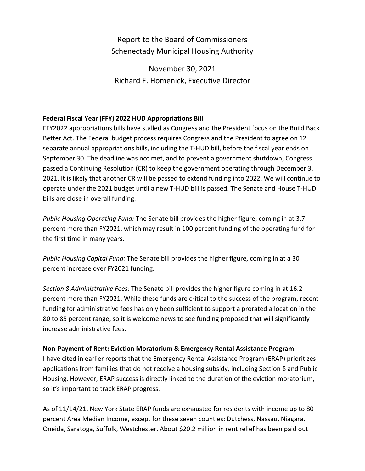# Report to the Board of Commissioners Schenectady Municipal Housing Authority

November 30, 2021 Richard E. Homenick, Executive Director

### **Federal Fiscal Year (FFY) 2022 HUD Appropriations Bill**

FFY2022 appropriations bills have stalled as Congress and the President focus on the Build Back Better Act. The Federal budget process requires Congress and the President to agree on 12 separate annual appropriations bills, including the T-HUD bill, before the fiscal year ends on September 30. The deadline was not met, and to prevent a government shutdown, Congress passed a Continuing Resolution (CR) to keep the government operating through December 3, 2021. It is likely that another CR will be passed to extend funding into 2022. We will continue to operate under the 2021 budget until a new T-HUD bill is passed. The Senate and House T-HUD bills are close in overall funding.

*Public Housing Operating Fund:* The Senate bill provides the higher figure, coming in at 3.7 percent more than FY2021, which may result in 100 percent funding of the operating fund for the first time in many years.

*Public Housing Capital Fund:* The Senate bill provides the higher figure, coming in at a 30 percent increase over FY2021 funding.

*Section 8 Administrative Fees:* The Senate bill provides the higher figure coming in at 16.2 percent more than FY2021. While these funds are critical to the success of the program, recent funding for administrative fees has only been sufficient to support a prorated allocation in the 80 to 85 percent range, so it is welcome news to see funding proposed that will significantly increase administrative fees.

### **Non-Payment of Rent: Eviction Moratorium & Emergency Rental Assistance Program**

I have cited in earlier reports that the Emergency Rental Assistance Program (ERAP) prioritizes applications from families that do not receive a housing subsidy, including Section 8 and Public Housing. However, ERAP success is directly linked to the duration of the eviction moratorium, so it's important to track ERAP progress.

As of 11/14/21, New York State ERAP funds are exhausted for residents with income up to 80 percent Area Median Income, except for these seven counties: Dutchess, Nassau, Niagara, Oneida, Saratoga, Suffolk, Westchester. About \$20.2 million in rent relief has been paid out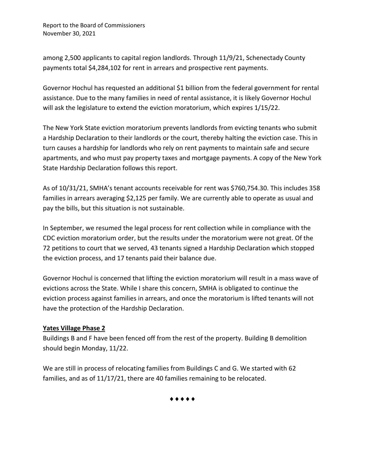Report to the Board of Commissioners November 30, 2021

among 2,500 applicants to capital region landlords. Through 11/9/21, Schenectady County payments total \$4,284,102 for rent in arrears and prospective rent payments.

Governor Hochul has requested an additional \$1 billion from the federal government for rental assistance. Due to the many families in need of rental assistance, it is likely Governor Hochul will ask the legislature to extend the eviction moratorium, which expires 1/15/22.

The New York State eviction moratorium prevents landlords from evicting tenants who submit a Hardship Declaration to their landlords or the court, thereby halting the eviction case. This in turn causes a hardship for landlords who rely on rent payments to maintain safe and secure apartments, and who must pay property taxes and mortgage payments. A copy of the New York State Hardship Declaration follows this report.

As of 10/31/21, SMHA's tenant accounts receivable for rent was \$760,754.30. This includes 358 families in arrears averaging \$2,125 per family. We are currently able to operate as usual and pay the bills, but this situation is not sustainable.

In September, we resumed the legal process for rent collection while in compliance with the CDC eviction moratorium order, but the results under the moratorium were not great. Of the 72 petitions to court that we served, 43 tenants signed a Hardship Declaration which stopped the eviction process, and 17 tenants paid their balance due.

Governor Hochul is concerned that lifting the eviction moratorium will result in a mass wave of evictions across the State. While I share this concern, SMHA is obligated to continue the eviction process against families in arrears, and once the moratorium is lifted tenants will not have the protection of the Hardship Declaration.

### **Yates Village Phase 2**

Buildings B and F have been fenced off from the rest of the property. Building B demolition should begin Monday, 11/22.

We are still in process of relocating families from Buildings C and G. We started with 62 families, and as of 11/17/21, there are 40 families remaining to be relocated.

♦♦♦♦♦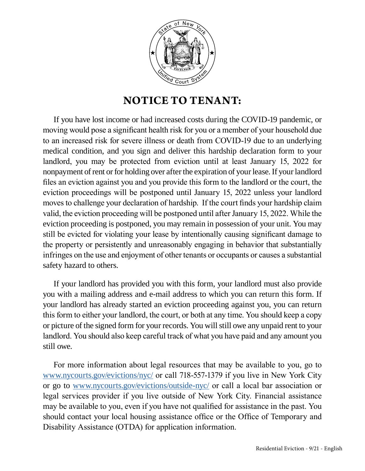

# **NOTICE TO TENANT:**

If you have lost income or had increased costs during the COVID-19 pandemic, or moving would pose a significant health risk for you or a member of your household due to an increased risk for severe illness or death from COVID-19 due to an underlying medical condition, and you sign and deliver this hardship declaration form to your landlord, you may be protected from eviction until at least January 15, 2022 for nonpayment of rent or for holding over after the expiration of your lease. If your landlord files an eviction against you and you provide this form to the landlord or the court, the eviction proceedings will be postponed until January 15, 2022 unless your landlord moves to challenge your declaration of hardship. If the court finds your hardship claim valid, the eviction proceeding will be postponed until after January 15, 2022. While the eviction proceeding is postponed, you may remain in possession of your unit. You may still be evicted for violating your lease by intentionally causing significant damage to the property or persistently and unreasonably engaging in behavior that substantially infringes on the use and enjoyment of other tenants or occupants or causes a substantial safety hazard to others.

If your landlord has provided you with this form, your landlord must also provide you with a mailing address and e-mail address to which you can return this form. If your landlord has already started an eviction proceeding against you, you can return this form to either your landlord, the court, or both at any time. You should keep a copy or picture of the signed form for your records. You will still owe any unpaid rent to your landlord. You should also keep careful track of what you have paid and any amount you still owe.

For more information about legal resources that may be available to you, go to [www.nycourts.gov/evictions/nyc/](http://www.nycourts.gov/evictions/nyc/) or call 718-557-1379 if you live in New York City or go to [www.nycourts.gov/evictions/outside-nyc/](http://www.nycourts.gov/evictions/outside-nyc/) or call a local bar association or legal services provider if you live outside of New York City. Financial assistance may be available to you, even if you have not qualified for assistance in the past. You should contact your local housing assistance office or the Office of Temporary and Disability Assistance (OTDA) for application information.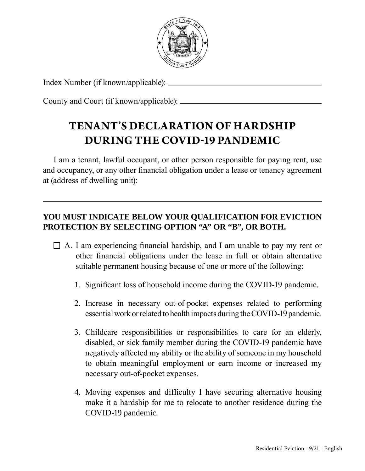

Index Number (if known/applicable):

County and Court (if known/applicable):

# **TENANT'S DECLARATION OF HARDSHIP DURING THE COVID-19 PANDEMIC**

I am a tenant, lawful occupant, or other person responsible for paying rent, use and occupancy, or any other financial obligation under a lease or tenancy agreement at (address of dwelling unit):

## **YOU MUST INDICATE BELOW YOUR QUALIFICATION FOR EVICTION PROTECTION BY SELECTING OPTION "A" OR "B", OR BOTH.**

- $\Box$  A. I am experiencing financial hardship, and I am unable to pay my rent or other financial obligations under the lease in full or obtain alternative suitable permanent housing because of one or more of the following:
	- 1. Significant loss of household income during the COVID-19 pandemic.
	- 2. Increase in necessary out-of-pocket expenses related to performing essential work or related to health impacts during the COVID-19 pandemic.
	- 3. Childcare responsibilities or responsibilities to care for an elderly, disabled, or sick family member during the COVID-19 pandemic have negatively affected my ability or the ability of someone in my household to obtain meaningful employment or earn income or increased my necessary out-of-pocket expenses.
	- 4. Moving expenses and difficulty I have securing alternative housing make it a hardship for me to relocate to another residence during the COVID-19 pandemic.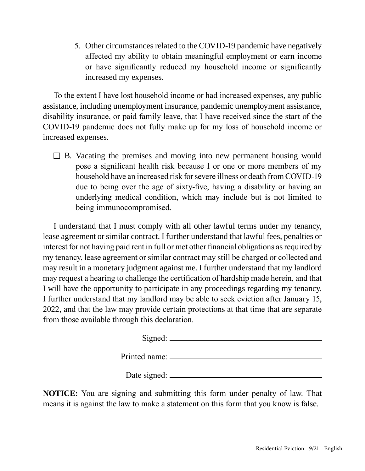5. Other circumstances related to the COVID-19 pandemic have negatively affected my ability to obtain meaningful employment or earn income or have significantly reduced my household income or significantly increased my expenses.

To the extent I have lost household income or had increased expenses, any public assistance, including unemployment insurance, pandemic unemployment assistance, disability insurance, or paid family leave, that I have received since the start of the COVID-19 pandemic does not fully make up for my loss of household income or increased expenses.

 $\Box$  B. Vacating the premises and moving into new permanent housing would pose a significant health risk because I or one or more members of my household have an increased risk for severe illness or death from COVID-19 due to being over the age of sixty-five, having a disability or having an underlying medical condition, which may include but is not limited to being immunocompromised.

I understand that I must comply with all other lawful terms under my tenancy, lease agreement or similar contract. I further understand that lawful fees, penalties or interest for not having paid rent in full or met other financial obligations as required by my tenancy, lease agreement or similar contract may still be charged or collected and may result in a monetary judgment against me. I further understand that my landlord may request a hearing to challenge the certification of hardship made herein, and that I will have the opportunity to participate in any proceedings regarding my tenancy. I further understand that my landlord may be able to seek eviction after January 15, 2022, and that the law may provide certain protections at that time that are separate from those available through this declaration.

> Signed: Printed name: Date signed:

**NOTICE:** You are signing and submitting this form under penalty of law. That means it is against the law to make a statement on this form that you know is false.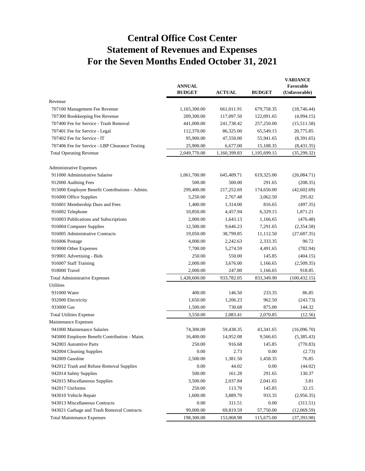# **Central Office Cost Center Statement of Revenues and Expenses For the Seven Months Ended October 31, 2021**

|                                                | <b>ANNUAL</b><br><b>BUDGET</b> | <b>ACTUAL</b> | <b>BUDGET</b> | <b>VARIANCE</b><br>Favorable<br>(Unfavorable) |
|------------------------------------------------|--------------------------------|---------------|---------------|-----------------------------------------------|
| Revenue                                        |                                |               |               |                                               |
| 707100 Management Fee Revenue                  | 1,165,300.00                   | 661,011.91    | 679,758.35    | (18, 746.44)                                  |
| 707300 Bookkeeping Fee Revenue                 | 209,300.00                     | 117,097.50    | 122,091.65    | (4,994.15)                                    |
| 707400 Fee for Service - Trash Removal         | 441,000.00                     | 241,738.42    | 257,250.00    | (15,511.58)                                   |
| 707401 Fee for Service - Legal                 | 112,370.00                     | 86,325.00     | 65,549.15     | 20,775.85                                     |
| 707402 Fee for Service - IT                    | 95,900.00                      | 47,550.00     | 55,941.65     | (8,391.65)                                    |
| 707406 Fee for Service - LBP Clearance Testing | 25,900.00                      | 6,677.00      | 15,108.35     | (8,431.35)                                    |
| <b>Total Operating Revenue</b>                 | 2,049,770.00                   | 1,160,399.83  | 1,195,699.15  | (35, 299.32)                                  |
| Administrative Expenses                        |                                |               |               |                                               |
| 911000 Administrative Salaries                 | 1,061,700.00                   | 645,409.71    | 619,325.00    | (26,084.71)                                   |
| 912000 Auditing Fees                           | 500.00                         | 500.00        | 291.65        | (208.35)                                      |
| 915000 Employee Benefit Contributions - Admin. | 299,400.00                     | 217,252.69    | 174,650.00    | (42, 602.69)                                  |
| 916000 Office Supplies                         | 5,250.00                       | 2,767.48      | 3,062.50      | 295.02                                        |
| 916001 Membership Dues and Fees                | 1,400.00                       | 1,314.00      | 816.65        | (497.35)                                      |
| 916002 Telephone                               | 10,850.00                      | 4,457.94      | 6,329.15      | 1,871.21                                      |
| 916003 Publications and Subscriptions          | 2,000.00                       | 1,643.13      | 1,166.65      | (476.48)                                      |
| 916004 Computer Supplies                       | 12,500.00                      | 9,646.23      | 7,291.65      | (2, 354.58)                                   |
| 916005 Administrative Contracts                | 19,050.00                      | 38,799.85     | 11,112.50     | (27, 687.35)                                  |
| 916006 Postage                                 | 4,000.00                       | 2,242.63      | 2,333.35      | 90.72                                         |
| 919000 Other Expenses                          | 7,700.00                       | 5,274.59      | 4,491.65      | (782.94)                                      |
| 919001 Advertising - Bids                      | 250.00                         | 550.00        | 145.85        | (404.15)                                      |
| 916007 Staff Training                          | 2,000.00                       | 3,676.00      | 1,166.65      | (2,509.35)                                    |
| 918000 Travel                                  | 2,000.00                       | 247.80        | 1,166.65      | 918.85                                        |
| <b>Total Administrative Expenses</b>           | 1,428,600.00                   | 933,782.05    | 833,349.90    | (100, 432.15)                                 |
| Utilities                                      |                                |               |               |                                               |
| 931000 Water                                   | 400.00                         | 146.50        | 233.35        | 86.85                                         |
| 932000 Electricity                             | 1,650.00                       | 1,206.23      | 962.50        | (243.73)                                      |
| 933000 Gas                                     | 1,500.00                       | 730.68        | 875.00        | 144.32                                        |
| <b>Total Utilities Expense</b>                 | 3,550.00                       | 2,083.41      | 2,070.85      | (12.56)                                       |
| Maintenance Expenses                           |                                |               |               |                                               |
| 941000 Maintenance Salaries                    | 74,300.00                      | 59,438.35     | 43,341.65     | (16,096.70)                                   |
| 945000 Employee Benefit Contribution - Maint.  | 16,400.00                      | 14,952.08     | 9,566.65      | (5,385.43)                                    |
| 942003 Automtive Parts                         | 250.00                         | 916.68        | 145.85        | (770.83)                                      |
| 942004 Cleaning Supplies                       | 0.00                           | 2.73          | 0.00          | (2.73)                                        |
| 942009 Gasoline                                | 2,500.00                       | 1,381.50      | 1,458.35      | 76.85                                         |
| 942012 Trash and Refuse Removal Supplies       | 0.00                           | 44.02         | 0.00          | (44.02)                                       |
| 942014 Safety Supplies                         | 500.00                         | 161.28        | 291.65        | 130.37                                        |
| 942015 Miscellaneous Supplies                  | 3,500.00                       | 2,037.84      | 2,041.65      | 3.81                                          |
| 942017 Uniforms                                | 250.00                         | 113.70        | 145.85        | 32.15                                         |
| 943010 Vehicle Repair                          | 1,600.00                       | 3,889.70      | 933.35        | (2,956.35)                                    |
| 943013 Miscellaneous Contracts                 | 0.00                           | 311.51        | 0.00          | (311.51)                                      |
| 943021 Garbage and Trash Removal Contracts     | 99,000.00                      | 69,819.59     | 57,750.00     | (12,069.59)                                   |
| <b>Total Maintenance Expenses</b>              | 198,300.00                     | 153,068.98    | 115,675.00    | (37, 393.98)                                  |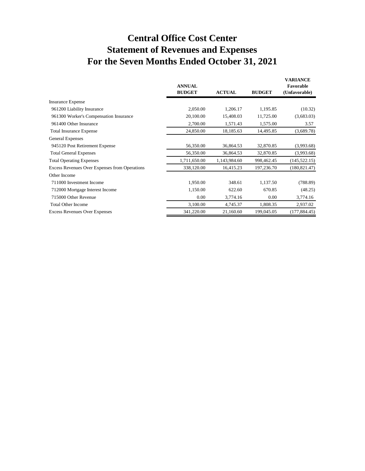# **Central Office Cost Center Statement of Revenues and Expenses For the Seven Months Ended October 31, 2021**

|                                                      | <b>ANNUAL</b><br><b>BUDGET</b> | <b>ACTUAL</b> | <b>BUDGET</b> | VARIANCE<br>Favorable<br>(Unfavorable) |
|------------------------------------------------------|--------------------------------|---------------|---------------|----------------------------------------|
| <b>Insurance Expense</b>                             |                                |               |               |                                        |
| 961200 Liability Insurance                           | 2,050.00                       | 1,206.17      | 1,195.85      | (10.32)                                |
| 961300 Worker's Compensation Insurance               | 20,100.00                      | 15,408.03     | 11,725.00     | (3,683.03)                             |
| 961400 Other Insurance                               | 2,700.00                       | 1,571.43      | 1,575.00      | 3.57                                   |
| <b>Total Insurance Expense</b>                       | 24,850.00                      | 18,185.63     | 14,495.85     | (3,689.78)                             |
| <b>General Expenses</b>                              |                                |               |               |                                        |
| 945120 Post Retirement Expense                       | 56,350.00                      | 36,864.53     | 32,870.85     | (3,993.68)                             |
| <b>Total General Expenses</b>                        | 56,350.00                      | 36,864.53     | 32,870.85     | (3,993.68)                             |
| <b>Total Operating Expenses</b>                      | 1,711,650.00                   | 1,143,984.60  | 998,462.45    | (145, 522, 15)                         |
| <b>Excess Revenues Over Expenses from Operations</b> | 338,120.00                     | 16,415.23     | 197,236.70    | (180, 821.47)                          |
| Other Income                                         |                                |               |               |                                        |
| 711000 Investment Income                             | 1,950.00                       | 348.61        | 1,137.50      | (788.89)                               |
| 712000 Mortgage Interest Income                      | 1,150.00                       | 622.60        | 670.85        | (48.25)                                |
| 715000 Other Revenue                                 | 0.00                           | 3,774.16      | 0.00          | 3,774.16                               |
| <b>Total Other Income</b>                            | 3,100.00                       | 4,745.37      | 1,808.35      | 2,937.02                               |
| <b>Excess Revenues Over Expenses</b>                 | 341,220.00                     | 21,160.60     | 199,045.05    | (177, 884.45)                          |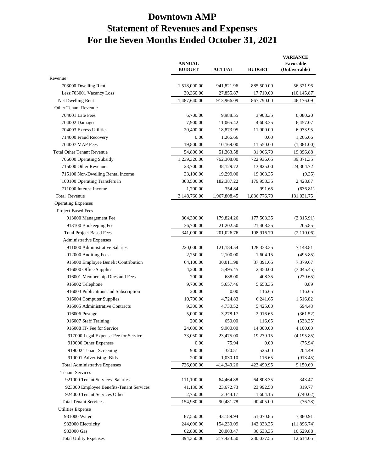# **Downtown AMP Statement of Revenues and Expenses For the Seven Months Ended October 31, 2021**

|                                          | <b>ANNUAL</b><br><b>BUDGET</b> | <b>ACTUAL</b> | <b>BUDGET</b> | <b>VARIANCE</b><br>Favorable<br>(Unfavorable) |
|------------------------------------------|--------------------------------|---------------|---------------|-----------------------------------------------|
| Revenue                                  |                                |               |               |                                               |
| 703000 Dwelling Rent                     | 1,518,000.00                   | 941,821.96    | 885,500.00    | 56,321.96                                     |
| Less: 703001 Vacancy Loss                | 30,360.00                      | 27,855.87     | 17,710.00     | (10, 145.87)                                  |
| Net Dwelling Rent                        | 1,487,640.00                   | 913,966.09    | 867,790.00    | 46,176.09                                     |
| Other Tenant Revenue                     |                                |               |               |                                               |
| 704001 Late Fees                         | 6,700.00                       | 9,988.55      | 3,908.35      | 6,080.20                                      |
| 704002 Damages                           | 7,900.00                       | 11,065.42     | 4,608.35      | 6,457.07                                      |
| 704003 Excess Utilities                  | 20,400.00                      | 18,873.95     | 11,900.00     | 6,973.95                                      |
| 714000 Fraud Recovery                    | 0.00                           | 1,266.66      | 0.00          | 1,266.66                                      |
| 704007 MAP Fees                          | 19,800.00                      | 10,169.00     | 11,550.00     | (1,381.00)                                    |
| <b>Total Other Tenant Revenue</b>        | 54,800.00                      | 51,363.58     | 31,966.70     | 19,396.88                                     |
| 706000 Operating Subsidy                 | 1,239,320.00                   | 762,308.00    | 722,936.65    | 39,371.35                                     |
| 715000 Other Revenue                     | 23,700.00                      | 38,129.72     | 13,825.00     | 24,304.72                                     |
| 715100 Non-Dwelling Rental Income        | 33,100.00                      | 19,299.00     | 19,308.35     | (9.35)                                        |
| 100100 Operating Transfers In            | 308,500.00                     | 182,387.22    | 179,958.35    | 2,428.87                                      |
| 711000 Interest Income                   | 1,700.00                       | 354.84        | 991.65        |                                               |
| Total Revenue                            | 3,148,760.00                   | 1,967,808.45  | 1,836,776.70  | (636.81)<br>131,031.75                        |
|                                          |                                |               |               |                                               |
| <b>Operating Expenses</b>                |                                |               |               |                                               |
| Project Based Fees                       |                                |               |               |                                               |
| 913000 Management Fee                    | 304,300.00                     | 179,824.26    | 177,508.35    | (2,315.91)                                    |
| 913100 Bookeeping Fee                    | 36,700.00                      | 21,202.50     | 21,408.35     | 205.85                                        |
| <b>Total Project Based Fees</b>          | 341,000.00                     | 201,026.76    | 198,916.70    | (2,110.06)                                    |
| <b>Administrative Expenses</b>           |                                |               |               |                                               |
| 911000 Administrative Salaries           | 220,000.00                     | 121,184.54    | 128,333.35    | 7,148.81                                      |
| 912000 Auditing Fees                     | 2,750.00                       | 2,100.00      | 1,604.15      | (495.85)                                      |
| 915000 Employee Benefit Contribution     | 64,100.00                      | 30,011.98     | 37,391.65     | 7,379.67                                      |
| 916000 Office Supplies                   | 4,200.00                       | 5.495.45      | 2,450.00      | (3,045.45)                                    |
| 916001 Membership Dues and Fees          | 700.00                         | 688.00        | 408.35        | (279.65)                                      |
| 916002 Telephone                         | 9,700.00                       | 5,657.46      | 5,658.35      | 0.89                                          |
| 916003 Publications and Subscription     | 200.00                         | 0.00          | 116.65        | 116.65                                        |
| 916004 Computer Supplies                 | 10,700.00                      | 4,724.83      | 6,241.65      | 1,516.82                                      |
| 916005 Administrative Contracts          | 9,300.00                       | 4,730.52      | 5,425.00      | 694.48                                        |
| 916006 Postage                           | 5,000.00                       | 3,278.17      | 2,916.65      | (361.52)                                      |
| 916007 Staff Training                    | 200.00                         | 650.00        | 116.65        | (533.35)                                      |
| 916008 IT- Fee for Service               | 24,000.00                      | 9,900.00      | 14,000.00     | 4,100.00                                      |
| 917000 Legal Expense-Fee for Service     | 33,050.00                      | 23,475.00     | 19,279.15     | (4,195.85)                                    |
| 919000 Other Expenses                    | 0.00                           | 75.94         | 0.00          | (75.94)                                       |
| 919002 Tenant Screening                  | 900.00                         | 320.51        | 525.00        | 204.49                                        |
| 919001 Advertising-Bids                  | 200.00                         | 1,030.10      | 116.65        | (913.45)                                      |
| <b>Total Administrative Expenses</b>     | 726,000.00                     | 414,349.26    | 423,499.95    | 9,150.69                                      |
| <b>Tenant Services</b>                   |                                |               |               |                                               |
| 921000 Tenant Services- Salaries         | 111,100.00                     | 64,464.88     | 64,808.35     | 343.47                                        |
| 923000 Employee Benefits-Tenant Services | 41,130.00                      | 23,672.73     | 23,992.50     | 319.77                                        |
| 924000 Tenant Services Other             | 2,750.00                       | 2,344.17      | 1,604.15      | (740.02)                                      |
| <b>Total Tenant Services</b>             | 154,980.00                     | 90,481.78     | 90,405.00     | (76.78)                                       |
| <b>Utilities Expense</b>                 |                                |               |               |                                               |
| 931000 Water                             | 87,550.00                      | 43,189.94     | 51,070.85     | 7,880.91                                      |
| 932000 Electricity                       | 244,000.00                     | 154,230.09    | 142,333.35    | (11,896.74)                                   |
| 933000 Gas                               | 62,800.00                      | 20,003.47     | 36,633.35     | 16,629.88                                     |
| <b>Total Utility Expenses</b>            | 394,350.00                     | 217,423.50    | 230,037.55    | 12,614.05                                     |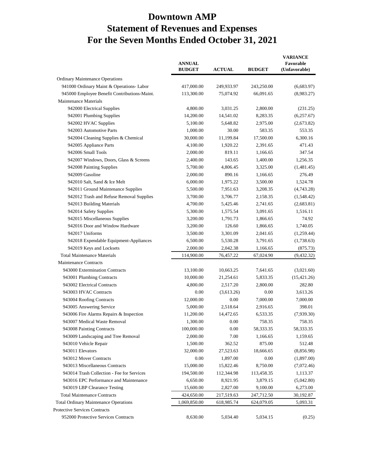# **Downtown AMP Statement of Revenues and Expenses For the Seven Months Ended October 31, 2021**

|                                              | <b>ANNUAL</b><br><b>BUDGET</b> | <b>ACTUAL</b> | <b>BUDGET</b> | <b>VARIANCE</b><br>Favorable<br>(Unfavorable) |
|----------------------------------------------|--------------------------------|---------------|---------------|-----------------------------------------------|
| <b>Ordinary Maintenance Operations</b>       |                                |               |               |                                               |
| 941000 Ordinary Maint & Operations- Labor    | 417,000.00                     | 249,933.97    | 243,250.00    | (6,683.97)                                    |
| 945000 Employee Benefit Contributions-Maint. | 113,300.00                     | 75,074.92     | 66,091.65     | (8,983.27)                                    |
| Maintenance Materials                        |                                |               |               |                                               |
| 942000 Electrical Supplies                   | 4,800.00                       | 3,031.25      | 2,800.00      | (231.25)                                      |
| 942001 Plumbing Supplies                     | 14,200.00                      | 14,541.02     | 8,283.35      | (6,257.67)                                    |
| 942002 HVAC Supplies                         | 5,100.00                       | 5,648.82      | 2,975.00      | (2,673.82)                                    |
| 942003 Automotive Parts                      | 1,000.00                       | 30.00         | 583.35        | 553.35                                        |
| 942004 Cleaning Supplies & Chemical          | 30,000.00                      | 11,199.84     | 17,500.00     | 6,300.16                                      |
| 942005 Appliance Parts                       | 4,100.00                       | 1,920.22      | 2,391.65      | 471.43                                        |
| 942006 Small Tools                           | 2,000.00                       | 819.11        | 1,166.65      | 347.54                                        |
| 942007 Windows, Doors, Glass & Screens       | 2,400.00                       | 143.65        | 1,400.00      | 1,256.35                                      |
| 942008 Painting Supplies                     | 5,700.00                       | 4,806.45      | 3,325.00      | (1,481.45)                                    |
| 942009 Gasoline                              | 2,000.00                       | 890.16        | 1,166.65      | 276.49                                        |
| 942010 Salt, Sand & Ice Melt                 | 6,000.00                       | 1,975.22      | 3,500.00      | 1,524.78                                      |
| 942011 Ground Maintenance Supplies           | 5,500.00                       | 7,951.63      | 3,208.35      | (4,743.28)                                    |
| 942012 Trash and Refuse Removal Supplies     | 3,700.00                       | 3,706.77      | 2,158.35      | (1,548.42)                                    |
| 942013 Building Materials                    | 4,700.00                       | 5,425.46      | 2,741.65      | (2,683.81)                                    |
| 942014 Safety Supplies                       | 5,300.00                       | 1,575.54      | 3,091.65      | 1,516.11                                      |
| 942015 Miscellaneous Supplies                | 3,200.00                       | 1,791.73      | 1,866.65      | 74.92                                         |
| 942016 Door and Window Hardware              | 3,200.00                       | 126.60        | 1,866.65      | 1,740.05                                      |
| 942017 Uniforms                              | 3,500.00                       | 3,301.09      | 2,041.65      | (1,259.44)                                    |
| 942018 Expendable Equipment-Appliances       | 6,500.00                       | 5,530.28      | 3,791.65      | (1,738.63)                                    |
| 942019 Keys and Locksets                     | 2,000.00                       | 2,042.38      | 1,166.65      | (875.73)                                      |
| <b>Total Maintenance Materials</b>           | 114,900.00                     | 76,457.22     | 67,024.90     | (9,432.32)                                    |
| <b>Maintenance Contracts</b>                 |                                |               |               |                                               |
| 943000 Extermination Contracts               | 13,100.00                      | 10,663.25     | 7,641.65      | (3,021.60)                                    |
| 943001 Plumbing Contracts                    | 10,000.00                      | 21,254.61     | 5,833.35      | (15, 421.26)                                  |
| 943002 Electrical Contracts                  | 4,800.00                       | 2,517.20      | 2,800.00      | 282.80                                        |
| 943003 HVAC Contracts                        | 0.00                           | (3,613.26)    | 0.00          | 3,613.26                                      |
| 943004 Roofing Contracts                     | 12,000.00                      | 0.00          | 7,000.00      | 7,000.00                                      |
| 943005 Answering Service                     | 5,000.00                       | 2,518.64      | 2,916.65      | 398.01                                        |
| 943006 Fire Alarms Repairs & Inspection      | 11,200.00                      | 14,472.65     | 6,533.35      | (7,939.30)                                    |
| 943007 Medical Waste Removal                 | 1,300.00                       | 0.00          | 758.35        | 758.35                                        |
| 943008 Painting Contracts                    | 100,000.00                     | 0.00          | 58,333.35     | 58,333.35                                     |
| 943009 Landscaping and Tree Removal          | 2,000.00                       | 7.00          | 1,166.65      | 1,159.65                                      |
| 943010 Vehicle Repair                        | 1,500.00                       | 362.52        | 875.00        | 512.48                                        |
| 943011 Elevators                             | 32,000.00                      | 27,523.63     | 18,666.65     | (8,856.98)                                    |
| 943012 Mover Contracts                       | 0.00                           | 1,897.00      | 0.00          | (1,897.00)                                    |
| 943013 Miscellaneous Contracts               | 15,000.00                      | 15,822.46     | 8,750.00      | (7,072.46)                                    |
| 943014 Trash Collection - Fee for Services   | 194,500.00                     | 112,344.98    | 113,458.35    | 1,113.37                                      |
| 943016 EPC Performance and Maintenance       | 6,650.00                       | 8,921.95      | 3,879.15      | (5,042.80)                                    |
| 943019 LBP Clearance Testing                 | 15,600.00                      | 2,827.00      | 9,100.00      | 6,273.00                                      |
| <b>Total Maintenance Contracts</b>           | 424,650.00                     | 217,519.63    | 247,712.50    | 30,192.87                                     |
| <b>Total Ordinary Maintenance Operations</b> | 1,069,850.00                   | 618,985.74    | 624,079.05    | 5,093.31                                      |
| Protective Services Contracts                |                                |               |               |                                               |
| 952000 Protective Services Contracts         | 8,630.00                       | 5,034.40      | 5,034.15      | (0.25)                                        |
|                                              |                                |               |               |                                               |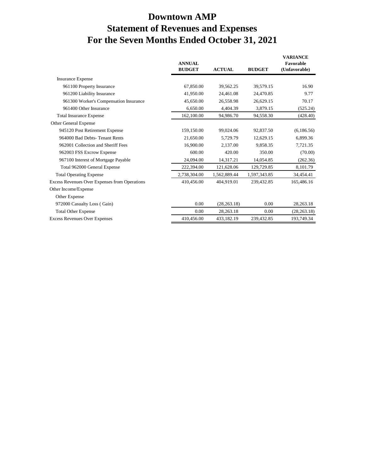# **Downtown AMP Statement of Revenues and Expenses For the Seven Months Ended October 31, 2021**

|                                                      | <b>ANNUAL</b><br><b>BUDGET</b> | <b>ACTUAL</b> | <b>BUDGET</b> | <b>VARIANCE</b><br>Favorable<br>(Unfavorable) |
|------------------------------------------------------|--------------------------------|---------------|---------------|-----------------------------------------------|
| <b>Insurance Expense</b>                             |                                |               |               |                                               |
| 961100 Property Insurance                            | 67,850.00                      | 39,562.25     | 39,579.15     | 16.90                                         |
| 961200 Liability Insurance                           | 41,950.00                      | 24,461.08     | 24,470.85     | 9.77                                          |
| 961300 Worker's Compensation Insurance               | 45,650.00                      | 26,558.98     | 26,629.15     | 70.17                                         |
| 961400 Other Insurance                               | 6,650.00                       | 4,404.39      | 3,879.15      | (525.24)                                      |
| <b>Total Insurance Expense</b>                       | 162,100.00                     | 94,986.70     | 94,558.30     | (428.40)                                      |
| Other General Expense                                |                                |               |               |                                               |
| 945120 Post Retirement Expense                       | 159,150.00                     | 99,024.06     | 92,837.50     | (6,186.56)                                    |
| 964000 Bad Debts- Tenant Rents                       | 21,650.00                      | 5,729.79      | 12,629.15     | 6,899.36                                      |
| 962001 Collection and Sheriff Fees                   | 16,900.00                      | 2,137.00      | 9,858.35      | 7,721.35                                      |
| 962003 FSS Excrow Expense                            | 600.00                         | 420.00        | 350.00        | (70.00)                                       |
| 967100 Interest of Mortgage Payable                  | 24,094.00                      | 14,317.21     | 14,054.85     | (262.36)                                      |
| Total 962000 General Expense                         | 222,394.00                     | 121,628.06    | 129,729.85    | 8,101.79                                      |
| <b>Total Operating Expense</b>                       | 2,738,304.00                   | 1,562,889.44  | 1,597,343.85  | 34,454.41                                     |
| <b>Excess Revenues Over Expenses from Operations</b> | 410,456.00                     | 404,919.01    | 239,432.85    | 165,486.16                                    |
| Other Income/Expense                                 |                                |               |               |                                               |
| Other Expense                                        |                                |               |               |                                               |
| 972000 Casualty Loss (Gain)                          | 0.00                           | (28, 263.18)  | 0.00          | 28,263.18                                     |
| <b>Total Other Expense</b>                           | 0.00                           | 28,263.18     | 0.00          | (28, 263.18)                                  |
| <b>Excess Revenues Over Expenses</b>                 | 410,456.00                     | 433,182.19    | 239,432.85    | 193,749.34                                    |
|                                                      |                                |               |               |                                               |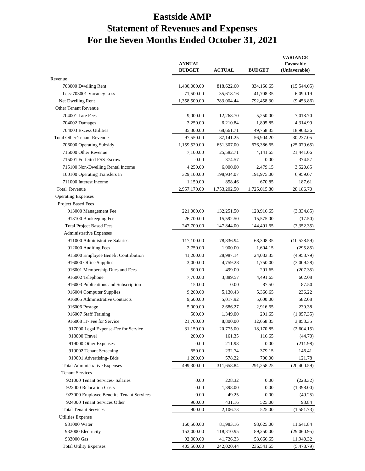# **Eastside AMP Statement of Revenues and Expenses For the Seven Months Ended October 31, 2021**

|                                          | <b>ANNUAL</b><br><b>BUDGET</b> | <b>ACTUAL</b> | <b>BUDGET</b> | <b>VARIANCE</b><br>Favorable<br>(Unfavorable) |
|------------------------------------------|--------------------------------|---------------|---------------|-----------------------------------------------|
| Revenue                                  |                                |               |               |                                               |
| 703000 Dwelling Rent                     | 1,430,000.00                   | 818,622.60    | 834,166.65    | (15,544.05)                                   |
| Less: 703001 Vacancy Loss                | 71,500.00                      | 35,618.16     | 41,708.35     | 6,090.19                                      |
| Net Dwelling Rent                        | 1,358,500.00                   | 783,004.44    | 792,458.30    | (9, 453.86)                                   |
| Other Tenant Revenue                     |                                |               |               |                                               |
| 704001 Late Fees                         | 9,000.00                       | 12,268.70     | 5,250.00      | 7,018.70                                      |
| 704002 Damages                           | 3,250.00                       | 6,210.84      | 1,895.85      | 4,314.99                                      |
| 704003 Excess Utilities                  | 85,300.00                      | 68,661.71     | 49,758.35     | 18,903.36                                     |
| <b>Total Other Tenant Revenue</b>        | 97,550.00                      | 87,141.25     | 56,904.20     | 30,237.05                                     |
| 706000 Operating Subsidy                 | 1,159,520.00                   | 651,307.00    | 676,386.65    | (25,079.65)                                   |
| 715000 Other Revenue                     | 7,100.00                       | 25,582.71     | 4,141.65      | 21,441.06                                     |
| 715001 Forfeited FSS Escrow              | 0.00                           | 374.57        | 0.00          | 374.57                                        |
| 715100 Non-Dwelling Rental Income        | 4,250.00                       | 6,000.00      | 2,479.15      | 3,520.85                                      |
| 100100 Operating Transfers In            | 329,100.00                     | 198,934.07    | 191,975.00    | 6,959.07                                      |
| 711000 Interest Income                   | 1,150.00                       | 858.46        | 670.85        | 187.61                                        |
| <b>Total Revenue</b>                     | 2,957,170.00                   | 1,753,202.50  | 1,725,015.80  | 28,186.70                                     |
| <b>Operating Expenses</b>                |                                |               |               |                                               |
| Project Based Fees                       |                                |               |               |                                               |
| 913000 Management Fee                    | 221,000.00                     | 132,251.50    | 128,916.65    | (3,334.85)                                    |
| 913100 Bookeeping Fee                    | 26,700.00                      | 15,592.50     | 15,575.00     | (17.50)                                       |
| <b>Total Project Based Fees</b>          | 247,700.00                     | 147,844.00    | 144,491.65    | (3,352.35)                                    |
| <b>Administrative Expenses</b>           |                                |               |               |                                               |
| 911000 Administrative Salaries           | 117,100.00                     | 78,836.94     | 68,308.35     | (10,528.59)                                   |
| 912000 Auditing Fees                     | 2,750.00                       | 1,900.00      | 1,604.15      | (295.85)                                      |
| 915000 Employee Benefit Contribution     | 41,200.00                      | 28,987.14     | 24,033.35     | (4,953.79)                                    |
| 916000 Office Supplies                   | 3,000.00                       | 4,759.28      | 1,750.00      | (3,009.28)                                    |
| 916001 Membership Dues and Fees          | 500.00                         | 499.00        | 291.65        | (207.35)                                      |
| 916002 Telephone                         | 7,700.00                       | 3,889.57      | 4,491.65      | 602.08                                        |
| 916003 Publications and Subscription     | 150.00                         | 0.00          | 87.50         | 87.50                                         |
| 916004 Computer Supplies                 | 9,200.00                       | 5,130.43      | 5,366.65      | 236.22                                        |
| 916005 Administrative Contracts          | 9,600.00                       | 5,017.92      | 5,600.00      | 582.08                                        |
| 916006 Postage                           | 5,000.00                       | 2,686.27      | 2,916.65      | 230.38                                        |
| 916007 Staff Training                    | 500.00                         | 1,349.00      | 291.65        | (1,057.35)                                    |
| 916008 IT- Fee for Service               | 21,700.00                      | 8,800.00      | 12,658.35     | 3,858.35                                      |
| 917000 Legal Expense-Fee for Service     | 31,150.00                      | 20,775.00     | 18,170.85     | (2,604.15)                                    |
| 918000 Travel                            | 200.00                         | 161.35        | 116.65        | (44.70)                                       |
| 919000 Other Expenses                    | 0.00                           | 211.98        | 0.00          | (211.98)                                      |
| 919002 Tenant Screening                  | 650.00                         | 232.74        | 379.15        | 146.41                                        |
| 919001 Advertising-Bids                  | 1,200.00                       | 578.22        | 700.00        | 121.78                                        |
| <b>Total Administrative Expenses</b>     | 499,300.00                     | 311,658.84    | 291,258.25    | (20,400.59)                                   |
| <b>Tenant Services</b>                   |                                |               |               |                                               |
| 921000 Tenant Services- Salaries         | 0.00                           | 228.32        | 0.00          | (228.32)                                      |
| 922000 Relocation Costs                  | 0.00                           | 1,398.00      | 0.00          | (1,398.00)                                    |
| 923000 Employee Benefits-Tenant Services | 0.00                           | 49.25         | 0.00          | (49.25)                                       |
| 924000 Tenant Services Other             | 900.00                         | 431.16        | 525.00        | 93.84                                         |
| <b>Total Tenant Services</b>             | 900.00                         | 2,106.73      | 525.00        | (1,581.73)                                    |
| <b>Utilities Expense</b>                 |                                |               |               |                                               |
| 931000 Water                             | 160,500.00                     | 81,983.16     | 93,625.00     | 11,641.84                                     |
| 932000 Electricity                       | 153,000.00                     | 118,310.95    | 89,250.00     | (29,060.95)                                   |
| 933000 Gas                               | 92,000.00                      | 41,726.33     | 53,666.65     | 11,940.32                                     |
| <b>Total Utility Expenses</b>            | 405,500.00                     | 242,020.44    | 236,541.65    | (5,478.79)                                    |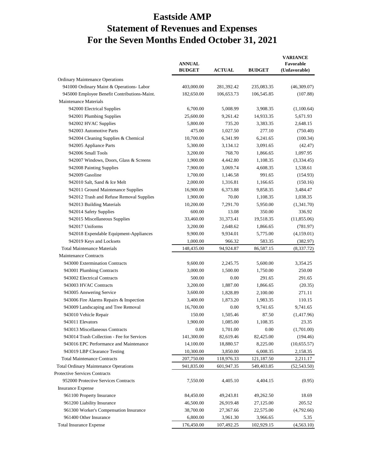# **Eastside AMP Statement of Revenues and Expenses For the Seven Months Ended October 31, 2021**

|                                              | <b>ANNUAL</b><br><b>BUDGET</b> | <b>ACTUAL</b> | <b>BUDGET</b> | <b>VARIANCE</b><br>Favorable<br>(Unfavorable) |
|----------------------------------------------|--------------------------------|---------------|---------------|-----------------------------------------------|
| <b>Ordinary Maintenance Operations</b>       |                                |               |               |                                               |
| 941000 Ordinary Maint & Operations- Labor    | 403,000.00                     | 281,392.42    | 235,083.35    | (46,309.07)                                   |
| 945000 Employee Benefit Contributions-Maint. | 182,650.00                     | 106,653.73    | 106,545.85    | (107.88)                                      |
| Maintenance Materials                        |                                |               |               |                                               |
| 942000 Electrical Supplies                   | 6,700.00                       | 5,008.99      | 3,908.35      | (1,100.64)                                    |
| 942001 Plumbing Supplies                     | 25,600.00                      | 9,261.42      | 14,933.35     | 5,671.93                                      |
| 942002 HVAC Supplies                         | 5,800.00                       | 735.20        | 3,383.35      | 2,648.15                                      |
| 942003 Automotive Parts                      | 475.00                         | 1,027.50      | 277.10        | (750.40)                                      |
| 942004 Cleaning Supplies & Chemical          | 10,700.00                      | 6,341.99      | 6,241.65      | (100.34)                                      |
| 942005 Appliance Parts                       | 5,300.00                       | 3,134.12      | 3,091.65      | (42.47)                                       |
| 942006 Small Tools                           | 3,200.00                       | 768.70        | 1,866.65      | 1,097.95                                      |
| 942007 Windows, Doors, Glass & Screens       | 1,900.00                       | 4,442.80      | 1,108.35      | (3,334.45)                                    |
| 942008 Painting Supplies                     | 7,900.00                       | 3,069.74      | 4,608.35      | 1,538.61                                      |
| 942009 Gasoline                              | 1,700.00                       | 1,146.58      | 991.65        | (154.93)                                      |
| 942010 Salt, Sand & Ice Melt                 | 2,000.00                       | 1,316.81      | 1,166.65      | (150.16)                                      |
| 942011 Ground Maintenance Supplies           | 16,900.00                      | 6,373.88      | 9,858.35      | 3,484.47                                      |
| 942012 Trash and Refuse Removal Supplies     | 1,900.00                       | 70.00         | 1,108.35      | 1,038.35                                      |
| 942013 Building Materials                    | 10,200.00                      | 7,291.70      | 5,950.00      | (1,341.70)                                    |
| 942014 Safety Supplies                       | 600.00                         | 13.08         | 350.00        | 336.92                                        |
| 942015 Miscellaneous Supplies                | 33,460.00                      | 31,373.41     | 19,518.35     | (11,855.06)                                   |
| 942017 Uniforms                              | 3,200.00                       | 2,648.62      | 1,866.65      | (781.97)                                      |
| 942018 Expendable Equipment-Appliances       | 9,900.00                       | 9,934.01      | 5,775.00      | (4,159.01)                                    |
| 942019 Keys and Locksets                     | 1,000.00                       | 966.32        | 583.35        | (382.97)                                      |
| <b>Total Maintenance Materials</b>           | 148,435.00                     | 94,924.87     | 86,587.15     | (8,337.72)                                    |
| <b>Maintenance Contracts</b>                 |                                |               |               |                                               |
| 943000 Extermination Contracts               | 9,600.00                       | 2,245.75      | 5,600.00      | 3,354.25                                      |
| 943001 Plumbing Contracts                    | 3,000.00                       | 1,500.00      | 1,750.00      | 250.00                                        |
| 943002 Electrical Contracts                  | 500.00                         | 0.00          | 291.65        | 291.65                                        |
| 943003 HVAC Contracts                        | 3,200.00                       | 1,887.00      | 1,866.65      | (20.35)                                       |
| 943005 Answering Service                     | 3,600.00                       | 1,828.89      | 2,100.00      | 271.11                                        |
| 943006 Fire Alarms Repairs & Inspection      | 3,400.00                       | 1,873.20      | 1,983.35      | 110.15                                        |
| 943009 Landscaping and Tree Removal          | 16,700.00                      | 0.00          | 9,741.65      | 9,741.65                                      |
| 943010 Vehicle Repair                        | 150.00                         | 1,505.46      | 87.50         | (1,417.96)                                    |
| 943011 Elevators                             | 1,900.00                       | 1,085.00      | 1,108.35      | 23.35                                         |
| 943013 Miscellaneous Contracts               | 0.00                           | 1,701.00      | 0.00          |                                               |
| 943014 Trash Collection - Fee for Services   | 141,300.00                     |               |               | (1,701.00)                                    |
| 943016 EPC Performance and Maintenance       | 14,100.00                      | 82,619.46     | 82,425.00     | (194.46)<br>(10,655.57)                       |
|                                              |                                | 18,880.57     | 8,225.00      |                                               |
| 943019 LBP Clearance Testing                 | 10,300.00                      | 3,850.00      | 6,008.35      | 2,158.35                                      |
| <b>Total Maintenance Contracts</b>           | 207,750.00                     | 118,976.33    | 121,187.50    | 2,211.17                                      |
| <b>Total Ordinary Maintenance Operations</b> | 941,835.00                     | 601,947.35    | 549,403.85    | (52, 543.50)                                  |
| Protective Services Contracts                |                                |               |               |                                               |
| 952000 Protective Services Contracts         | 7,550.00                       | 4,405.10      | 4,404.15      | (0.95)                                        |
| <b>Insurance Expense</b>                     |                                |               |               |                                               |
| 961100 Property Insurance                    | 84,450.00                      | 49,243.81     | 49,262.50     | 18.69                                         |
| 961200 Liability Insurance                   | 46,500.00                      | 26,919.48     | 27,125.00     | 205.52                                        |
| 961300 Worker's Compensation Insurance       | 38,700.00                      | 27,367.66     | 22,575.00     | (4,792.66)                                    |
| 961400 Other Insurance                       | 6,800.00                       | 3,961.30      | 3,966.65      | 5.35                                          |
| <b>Total Insurance Expense</b>               | 176,450.00                     | 107,492.25    | 102,929.15    | (4, 563.10)                                   |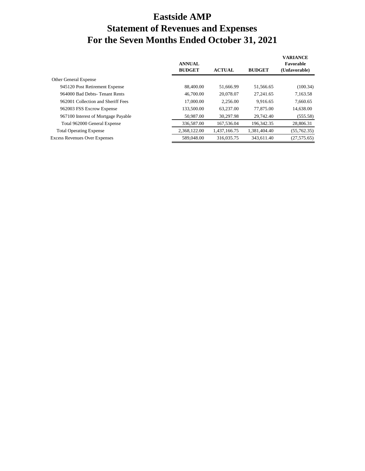# **Eastside AMP Statement of Revenues and Expenses For the Seven Months Ended October 31, 2021**

|                                      | <b>ANNUAL</b><br><b>BUDGET</b> | <b>ACTUAL</b> | <b>BUDGET</b> | <b>VARIANCE</b><br>Favorable<br>(Unfavorable) |
|--------------------------------------|--------------------------------|---------------|---------------|-----------------------------------------------|
| Other General Expense                |                                |               |               |                                               |
| 945120 Post Retirement Expense       | 88,400.00                      | 51.666.99     | 51,566.65     | (100.34)                                      |
| 964000 Bad Debts-Tenant Rents        | 46,700.00                      | 20.078.07     | 27.241.65     | 7,163.58                                      |
| 962001 Collection and Sheriff Fees   | 17,000.00                      | 2.256.00      | 9.916.65      | 7,660.65                                      |
| 962003 FSS Excrow Expense            | 133,500.00                     | 63,237.00     | 77,875,00     | 14,638.00                                     |
| 967100 Interest of Mortgage Payable  | 50,987.00                      | 30,297.98     | 29,742.40     | (555.58)                                      |
| Total 962000 General Expense         | 336,587.00                     | 167,536.04    | 196, 342. 35  | 28,806.31                                     |
| <b>Total Operating Expense</b>       | 2,368,122.00                   | 1.437.166.75  | 1.381.404.40  | (55,762.35)                                   |
| <b>Excess Revenues Over Expenses</b> | 589,048.00                     | 316,035.75    | 343,611.40    | (27, 575.65)                                  |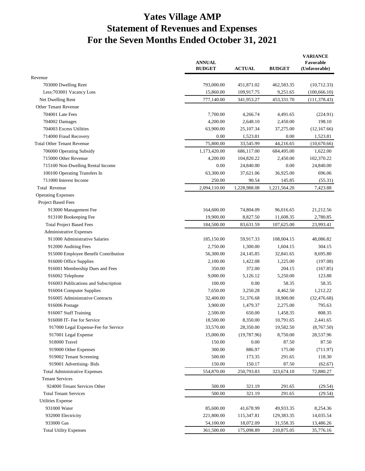# **Yates Village AMP Statement of Revenues and Expenses For the Seven Months Ended October 31, 2021**

|                                                             | <b>ANNUAL</b><br><b>BUDGET</b> | <b>ACTUAL</b>         | <b>BUDGET</b>         | <b>VARIANCE</b><br>Favorable<br>(Unfavorable) |
|-------------------------------------------------------------|--------------------------------|-----------------------|-----------------------|-----------------------------------------------|
| Revenue                                                     |                                |                       |                       |                                               |
| 703000 Dwelling Rent                                        | 793,000.00                     | 451,871.02            | 462,583.35            | (10,712.33)                                   |
| Less: 703001 Vacancy Loss                                   | 15,860.00                      | 109,917.75            | 9,251.65              | (100, 666.10)                                 |
| Net Dwelling Rent                                           | 777,140.00                     | 341,953.27            | 453,331.70            | (111, 378.43)                                 |
| Other Tenant Revenue                                        |                                |                       |                       |                                               |
| 704001 Late Fees                                            | 7,700.00                       | 4,266.74              | 4,491.65              | (224.91)                                      |
| 704002 Damages                                              | 4,200.00                       | 2,648.10              | 2,450.00              | 198.10                                        |
| 704003 Excess Utilities                                     | 63,900.00                      | 25,107.34             | 37,275.00             | (12,167.66)                                   |
| 714000 Fraud Recovery                                       | 0.00                           | 1,523.81              | 0.00                  | 1,523.81                                      |
| <b>Total Other Tenant Revenue</b>                           | 75,800.00                      | 33,545.99             | 44,216.65             | (10,670.66)                                   |
| 706000 Operating Subsidy                                    | 1,173,420.00                   | 686,117.00            | 684,495.00            | 1,622.00                                      |
| 715000 Other Revenue                                        | 4,200.00                       | 104,820.22            | 2,450.00              | 102,370.22                                    |
| 715100 Non-Dwelling Rental Income                           | 0.00                           | 24,840.00             | 0.00                  | 24,840.00                                     |
| 100100 Operating Transfers In                               | 63,300.00                      | 37,621.06             | 36,925.00             | 696.06                                        |
| 711000 Interest Income                                      | 250.00                         | 90.54                 | 145.85                | (55.31)                                       |
| <b>Total Revenue</b>                                        | 2,094,110.00                   | 1,228,988.08          | 1,221,564.20          | 7,423.88                                      |
| <b>Operating Expenses</b>                                   |                                |                       |                       |                                               |
| Project Based Fees                                          |                                |                       |                       |                                               |
| 913000 Management Fee                                       | 164,600.00                     | 74,804.09             | 96,016.65             | 21,212.56                                     |
| 913100 Bookeeping Fee                                       | 19,900.00                      | 8,827.50              | 11,608.35             | 2,780.85                                      |
| <b>Total Project Based Fees</b>                             | 184,500.00                     | 83,631.59             | 107,625.00            | 23,993.41                                     |
| <b>Administrative Expenses</b>                              |                                |                       |                       |                                               |
| 911000 Administrative Salaries                              | 185,150.00                     | 59,917.33             | 108,004.15            | 48,086.82                                     |
| 912000 Auditing Fees                                        | 2,750.00                       | 1,300.00              | 1,604.15              | 304.15                                        |
| 915000 Employee Benefit Contribution                        | 56,300.00                      | 24, 145.85            | 32,841.65             | 8,695.80                                      |
| 916000 Office Supplies                                      | 2,100.00                       | 1,422.08              | 1,225.00              | (197.08)                                      |
| 916001 Membership Dues and Fees                             | 350.00                         | 372.00                | 204.15                | (167.85)                                      |
| 916002 Telephone                                            | 9,000.00                       | 5,126.12              | 5,250.00              | 123.88                                        |
| 916003 Publications and Subscription                        | 100.00                         | 0.00                  | 58.35                 | 58.35                                         |
|                                                             | 7,650.00                       | 3,250.28              |                       |                                               |
| 916004 Computer Supplies<br>916005 Administrative Contracts |                                |                       | 4,462.50<br>18,900.00 | 1,212.22                                      |
|                                                             | 32,400.00                      | 51,376.68<br>1,479.37 |                       | (32, 476.68)                                  |
| 916006 Postage                                              | 3,900.00                       |                       | 2,275.00              | 795.63                                        |
| 916007 Staff Training                                       | 2,500.00                       | 650.00                | 1,458.35              | 808.35                                        |
| 916008 IT- Fee for Service                                  | 18,500.00                      | 8,350.00              | 10,791.65             | 2,441.65                                      |
| 917000 Legal Expense-Fee for Service                        | 33,570.00                      | 28,350.00             | 19,582.50             | (8,767.50)                                    |
| 917001 Legal Expense                                        | 15,000.00                      | (19, 787.96)          | 8,750.00              | 28,537.96                                     |
| 918000 Travel                                               | 150.00                         | 0.00                  | 87.50                 | 87.50                                         |
| 919000 Other Expenses                                       | 300.00                         | 886.97                | 175.00                | (711.97)                                      |
| 919002 Tenant Screening                                     | 500.00                         | 173.35                | 291.65                | 118.30                                        |
| 919001 Advertising-Bids                                     | 150.00                         | 150.17                | 87.50                 | (62.67)                                       |
| <b>Total Administrative Expenses</b>                        | 554,870.00                     | 250,793.83            | 323,674.10            | 72,880.27                                     |
| <b>Tenant Services</b>                                      |                                |                       |                       |                                               |
| 924000 Tenant Services Other                                | 500.00                         | 321.19                | 291.65                | (29.54)                                       |
| <b>Total Tenant Services</b>                                | 500.00                         | 321.19                | 291.65                | (29.54)                                       |
| <b>Utilities Expense</b>                                    |                                |                       |                       |                                               |
| 931000 Water                                                | 85,600.00                      | 41,678.99             | 49,933.35             | 8,254.36                                      |
| 932000 Electricity                                          | 221,800.00                     | 115,347.81            | 129,383.35            | 14,035.54                                     |
| 933000 Gas                                                  | 54,100.00                      | 18,072.09             | 31,558.35             | 13,486.26                                     |
| <b>Total Utility Expenses</b>                               | 361,500.00                     | 175,098.89            | 210,875.05            | 35,776.16                                     |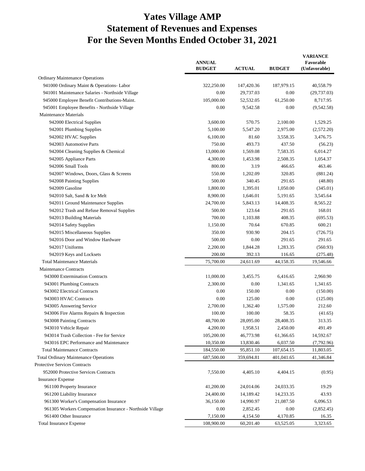# **Yates Village AMP Statement of Revenues and Expenses For the Seven Months Ended October 31, 2021**

|                                                           | <b>ANNUAL</b><br><b>BUDGET</b> | <b>ACTUAL</b> | <b>BUDGET</b> | <b>VARIANCE</b><br>Favorable<br>(Unfavorable) |
|-----------------------------------------------------------|--------------------------------|---------------|---------------|-----------------------------------------------|
| <b>Ordinary Maintenance Operations</b>                    |                                |               |               |                                               |
| 941000 Ordinary Maint & Operations- Labor                 | 322,250.00                     | 147,420.36    | 187,979.15    | 40,558.79                                     |
| 941001 Maintenance Salaries - Northside Village           | 0.00                           | 29,737.03     | 0.00          | (29, 737.03)                                  |
| 945000 Employee Benefit Contributions-Maint.              | 105,000.00                     | 52,532.05     | 61,250.00     | 8,717.95                                      |
| 945001 Employee Benefits - Northside Village              | 0.00                           | 9,542.58      | 0.00          | (9,542.58)                                    |
| <b>Maintenance Materials</b>                              |                                |               |               |                                               |
| 942000 Electrical Supplies                                | 3,600.00                       | 570.75        | 2,100.00      | 1,529.25                                      |
| 942001 Plumbing Supplies                                  | 5,100.00                       | 5,547.20      | 2,975.00      | (2,572.20)                                    |
| 942002 HVAC Supplies                                      | 6,100.00                       | 81.60         | 3,558.35      | 3,476.75                                      |
| 942003 Automotive Parts                                   | 750.00                         | 493.73        | 437.50        | (56.23)                                       |
| 942004 Cleaning Supplies & Chemical                       | 13,000.00                      | 1,569.08      | 7,583.35      | 6,014.27                                      |
| 942005 Appliance Parts                                    | 4,300.00                       | 1,453.98      | 2,508.35      | 1,054.37                                      |
| 942006 Small Tools                                        | 800.00                         | 3.19          | 466.65        | 463.46                                        |
| 942007 Windows, Doors, Glass & Screens                    | 550.00                         | 1,202.09      | 320.85        | (881.24)                                      |
| 942008 Painting Supplies                                  | 500.00                         | 340.45        | 291.65        | (48.80)                                       |
| 942009 Gasoline                                           | 1,800.00                       | 1,395.01      | 1,050.00      | (345.01)                                      |
| 942010 Salt, Sand & Ice Melt                              | 8,900.00                       | 1,646.01      | 5,191.65      | 3,545.64                                      |
| 942011 Ground Maintenance Supplies                        | 24,700.00                      | 5,843.13      | 14,408.35     | 8,565.22                                      |
| 942012 Trash and Refuse Removal Supplies                  | 500.00                         | 123.64        | 291.65        | 168.01                                        |
| 942013 Building Materials                                 | 700.00                         | 1,103.88      | 408.35        | (695.53)                                      |
| 942014 Safety Supplies                                    | 1,150.00                       | 70.64         | 670.85        | 600.21                                        |
| 942015 Miscellaneous Supplies                             | 350.00                         | 930.90        | 204.15        | (726.75)                                      |
| 942016 Door and Window Hardware                           | 500.00                         | 0.00          | 291.65        | 291.65                                        |
| 942017 Uniforms                                           | 2,200.00                       | 1,844.28      | 1,283.35      | (560.93)                                      |
| 942019 Keys and Locksets                                  | 200.00                         | 392.13        | 116.65        | (275.48)                                      |
| <b>Total Maintenance Materials</b>                        | 75,700.00                      | 24,611.69     | 44,158.35     | 19,546.66                                     |
| <b>Maintenance Contracts</b>                              |                                |               |               |                                               |
| 943000 Extermination Contracts                            | 11,000.00                      | 3,455.75      | 6,416.65      | 2,960.90                                      |
| 943001 Plumbing Contracts                                 | 2,300.00                       | 0.00          | 1,341.65      | 1,341.65                                      |
| 943002 Electrical Contracts                               | 0.00                           | 150.00        | 0.00          | (150.00)                                      |
| 943003 HVAC Contracts                                     | 0.00                           | 125.00        | 0.00          | (125.00)                                      |
| 943005 Answering Service                                  | 2,700.00                       | 1,362.40      | 1,575.00      | 212.60                                        |
| 943006 Fire Alarms Repairs & Inspection                   | 100.00                         | 100.00        | 58.35         | (41.65)                                       |
| 943008 Painting Contracts                                 | 48,700.00                      | 28,095.00     | 28,408.35     | 313.35                                        |
| 943010 Vehicle Repair                                     | 4,200.00                       | 1,958.51      | 2,450.00      | 491.49                                        |
| 943014 Trash Collection - Fee for Service                 | 105,200.00                     | 46,773.98     | 61,366.65     | 14,592.67                                     |
| 943016 EPC Performance and Maintenance                    | 10,350.00                      | 13,830.46     | 6,037.50      | (7,792.96)                                    |
| <b>Total Maintenance Contracts</b>                        | 184,550.00                     | 95,851.10     | 107,654.15    | 11,803.05                                     |
| <b>Total Ordinary Maintenance Operations</b>              | 687,500.00                     | 359,694.81    | 401,041.65    | 41,346.84                                     |
| Protective Services Contracts                             |                                |               |               |                                               |
| 952000 Protective Services Contracts                      | 7,550.00                       | 4,405.10      | 4,404.15      | (0.95)                                        |
| <b>Insurance Expense</b>                                  |                                |               |               |                                               |
| 961100 Property Insurance                                 | 41,200.00                      | 24,014.06     | 24,033.35     | 19.29                                         |
| 961200 Liability Insurance                                | 24,400.00                      | 14,189.42     | 14,233.35     | 43.93                                         |
| 961300 Worker's Compensation Insurance                    | 36,150.00                      | 14,990.97     | 21,087.50     | 6,096.53                                      |
| 961305 Workers Compensation Insurance - Northside Village | 0.00                           | 2,852.45      | 0.00          | (2,852.45)                                    |
| 961400 Other Insurance                                    |                                |               |               |                                               |
|                                                           | 7,150.00                       | 4,154.50      | 4,170.85      | 16.35                                         |
| <b>Total Insurance Expense</b>                            | 108,900.00                     | 60,201.40     | 63,525.05     | 3,323.65                                      |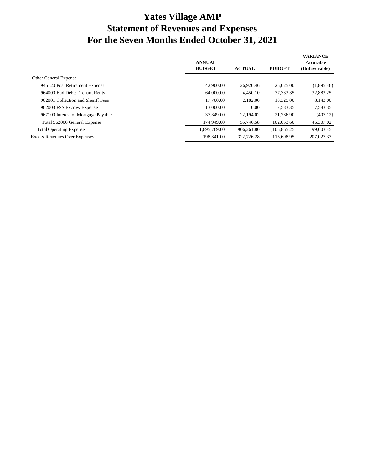# **Yates Village AMP Statement of Revenues and Expenses For the Seven Months Ended October 31, 2021**

|                                      | <b>ANNUAL</b><br><b>BUDGET</b> | <b>ACTUAL</b> | <b>BUDGET</b> | <b>VARIANCE</b><br>Favorable<br>(Unfavorable) |
|--------------------------------------|--------------------------------|---------------|---------------|-----------------------------------------------|
| Other General Expense                |                                |               |               |                                               |
| 945120 Post Retirement Expense       | 42,900.00                      | 26,920.46     | 25,025.00     | (1,895.46)                                    |
| 964000 Bad Debts-Tenant Rents        | 64,000.00                      | 4.450.10      | 37, 333. 35   | 32,883.25                                     |
| 962001 Collection and Sheriff Fees   | 17,700.00                      | 2.182.00      | 10.325.00     | 8,143.00                                      |
| 962003 FSS Excrow Expense            | 13,000.00                      | 0.00          | 7.583.35      | 7,583.35                                      |
| 967100 Interest of Mortgage Payable  | 37,349.00                      | 22,194.02     | 21,786.90     | (407.12)                                      |
| Total 962000 General Expense         | 174,949.00                     | 55,746.58     | 102,053.60    | 46,307.02                                     |
| <b>Total Operating Expense</b>       | 1.895.769.00                   | 906.261.80    | 1.105.865.25  | 199,603.45                                    |
| <b>Excess Revenues Over Expenses</b> | 198,341.00                     | 322,726.28    | 115,698.95    | 207,027.33                                    |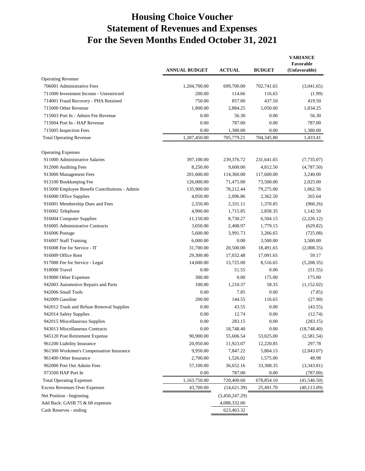# **Housing Choice Voucher Statement of Revenues and Expenses For the Seven Months Ended October 31, 2021**

|                                               | <b>ANNUAL BUDGET</b> | <b>ACTUAL</b>  | <b>BUDGET</b> | <b>VARIANCE</b><br>Favorable<br>(Unfavorable) |
|-----------------------------------------------|----------------------|----------------|---------------|-----------------------------------------------|
| <b>Operating Revenue</b>                      |                      |                |               |                                               |
| 706001 Administrative Fees                    | 1,204,700.00         | 699,700.00     | 702,741.65    | (3,041.65)                                    |
| 711000 Investment Income - Unrestricted       | 200.00               | 114.66         | 116.65        | (1.99)                                        |
| 714001 Fraud Recovery - PHA Retained          | 750.00               | 857.00         | 437.50        | 419.50                                        |
| 715000 Other Revenue                          | 1,800.00             | 2,884.25       | 1,050.00      | 1,834.25                                      |
| 715003 Port In - Admin Fee Revenue            | 0.00                 | 56.30          | 0.00          | 56.30                                         |
| 715004 Port In - HAP Revenue                  | 0.00                 | 787.00         | 0.00          | 787.00                                        |
| 715005 Inspection Fees                        | 0.00                 | 1,380.00       | 0.00          | 1,380.00                                      |
| <b>Total Operating Revenue</b>                | 1,207,450.00         | 705,779.21     | 704,345.80    | 1,433.41                                      |
| <b>Operating Expenses</b>                     |                      |                |               |                                               |
| 911000 Administrative Salaries                | 397,100.00           | 239,376.72     | 231,641.65    | (7,735.07)                                    |
| 912000 Auditing Fees                          | 8,250.00             | 9,600.00       | 4,812.50      | (4,787.50)                                    |
| 913000 Management Fees                        | 201,600.00           | 114,360.00     | 117,600.00    | 3,240.00                                      |
| 913100 Bookkeeping Fee                        | 126,000.00           | 71,475.00      | 73,500.00     | 2,025.00                                      |
| 915000 Employee Benefit Contributions - Admin | 135,900.00           | 78,212.44      | 79,275.00     | 1,062.56                                      |
| 916000 Office Supplies                        | 4,050.00             | 2,096.86       | 2,362.50      | 265.64                                        |
| 916001 Membership Dues and Fees               | 2,350.00             | 2,331.11       | 1,370.85      | (960.26)                                      |
| 916002 Telephone                              | 4,900.00             | 1,715.85       | 2,858.35      | 1,142.50                                      |
| 916004 Computer Supplies                      | 11,150.00            | 8,730.27       | 6,504.15      | (2,226.12)                                    |
| 916005 Administrative Contracts               | 3,050.00             | 2,408.97       | 1,779.15      | (629.82)                                      |
| 916006 Postage                                | 5,600.00             | 3,991.73       | 3,266.65      | (725.08)                                      |
| 916007 Staff Training                         | 6,000.00             | 0.00           | 3,500.00      | 3,500.00                                      |
| 916008 Fee for Service - IT                   | 31,700.00            | 20,500.00      | 18,491.65     | (2,008.35)                                    |
| 916009 Office Rent                            | 29,300.00            | 17,032.48      | 17,091.65     | 59.17                                         |
| 917000 Fee for Service - Legal                | 14,600.00            | 13,725.00      | 8,516.65      | (5,208.35)                                    |
| 918000 Travel                                 | 0.00                 | 51.55          | 0.00          | (51.55)                                       |
| 919000 Other Expenses                         | 300.00               | 0.00           | 175.00        | 175.00                                        |
| 942003 Automotive Repairs and Parts           | 100.00               | 1,210.37       | 58.35         | (1,152.02)                                    |
| 942006 Small Tools                            | 0.00                 | 7.85           | 0.00          | (7.85)                                        |
| 942009 Gasoline                               | 200.00               | 144.55         | 116.65        | (27.90)                                       |
| 942012 Trash and Refuse Removal Supplies      | 0.00                 | 43.55          | 0.00          | (43.55)                                       |
| 942014 Safety Supplies                        | 0.00                 | 12.74          | 0.00          | (12.74)                                       |
| 942015 Miscellaneous Supplies                 | 0.00                 | 283.15         | 0.00          | (283.15)                                      |
| 943013 Miscellaneous Contracts                | 0.00                 | 18,748.40      | 0.00          | (18,748.40)                                   |
| 945120 Post Retirement Expense                | 90,900.00            | 55,606.54      | 53,025.00     | (2,581.54)                                    |
| 961200 Liability Insurance                    | 20,950.00            | 11,923.07      | 12,220.85     | 297.78                                        |
| 961300 Workmen's Compensation Insurance       | 9,950.00             | 7,847.22       | 5,804.15      | (2,043.07)                                    |
| 961400 Other Insurance                        | 2,700.00             | 1,526.02       | 1,575.00      | 48.98                                         |
| 962000 Port Out Admin Fees                    | 57,100.00            | 36,652.16      | 33,308.35     | (3,343.81)                                    |
| 973500 HAP Port In                            | 0.00                 | 787.00         | 0.00          | (787.00)                                      |
| <b>Total Operating Expenses</b>               | 1,163,750.00         | 720,400.60     | 678,854.10    | (41, 546.50)                                  |
| <b>Excess Revenues Over Expenses</b>          | 43,700.00            | (14,621.39)    | 25,491.70     | (40, 113.09)                                  |
| Net Position - beginning                      |                      | (3,450,247.29) |               |                                               |
| Add Back: GASB 75 & 68 expenses               |                      | 4,088,332.00   |               |                                               |
| Cash Reserves - ending                        |                      | 623,463.32     |               |                                               |
|                                               |                      |                |               |                                               |